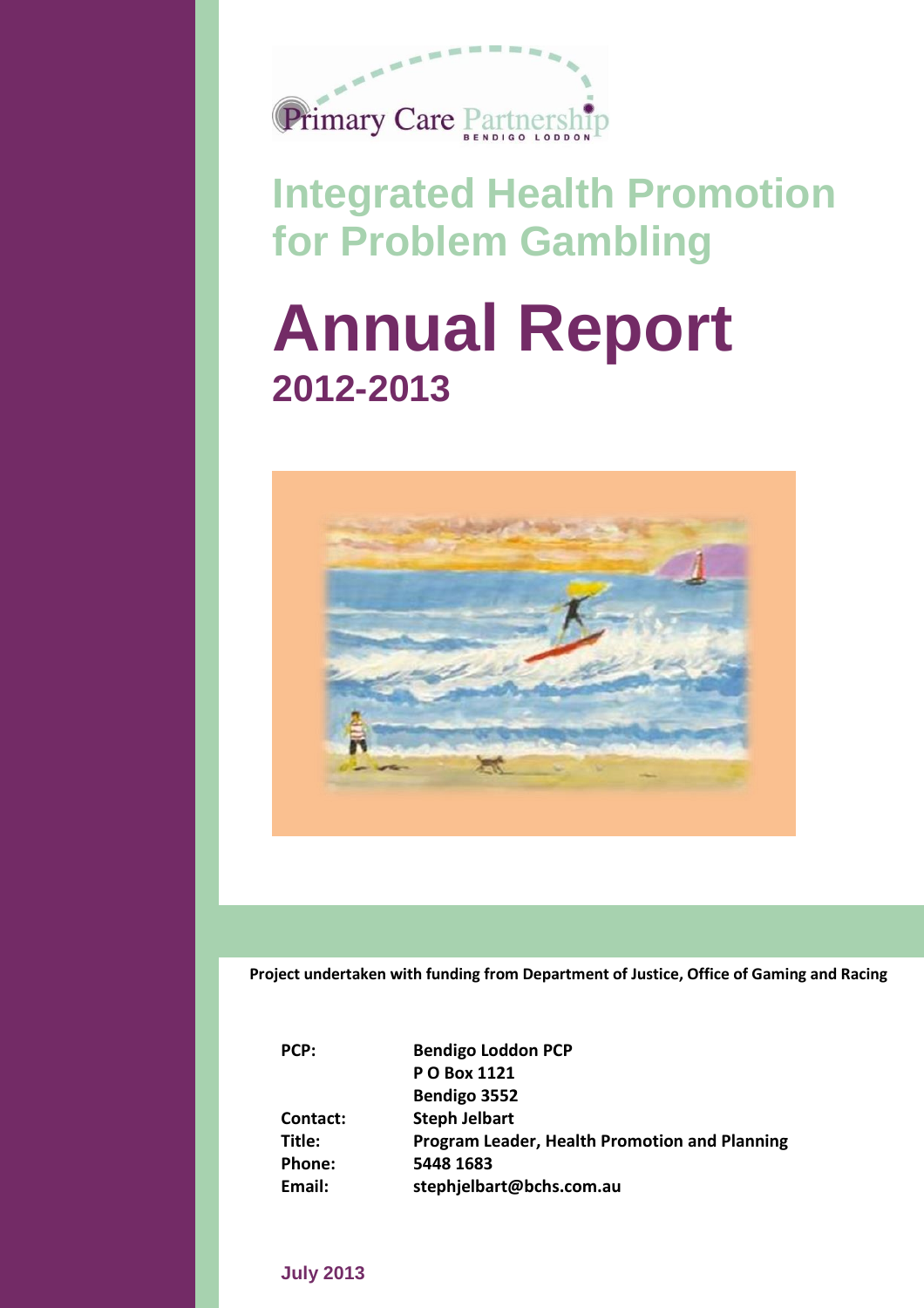

# **Integrated Health Promotion for Problem Gambling**

# **Annual Report 2012-2013**



**Project undertaken with funding from Department of Justice, Office of Gaming and Racing**

| PCP:     | <b>Bendigo Loddon PCP</b>                            |
|----------|------------------------------------------------------|
|          | P O Box 1121                                         |
|          | Bendigo 3552                                         |
| Contact: | <b>Steph Jelbart</b>                                 |
| Title:   | <b>Program Leader, Health Promotion and Planning</b> |
| Phone:   | 5448 1683                                            |
| Email:   | stephjelbart@bchs.com.au                             |

### **July 2013**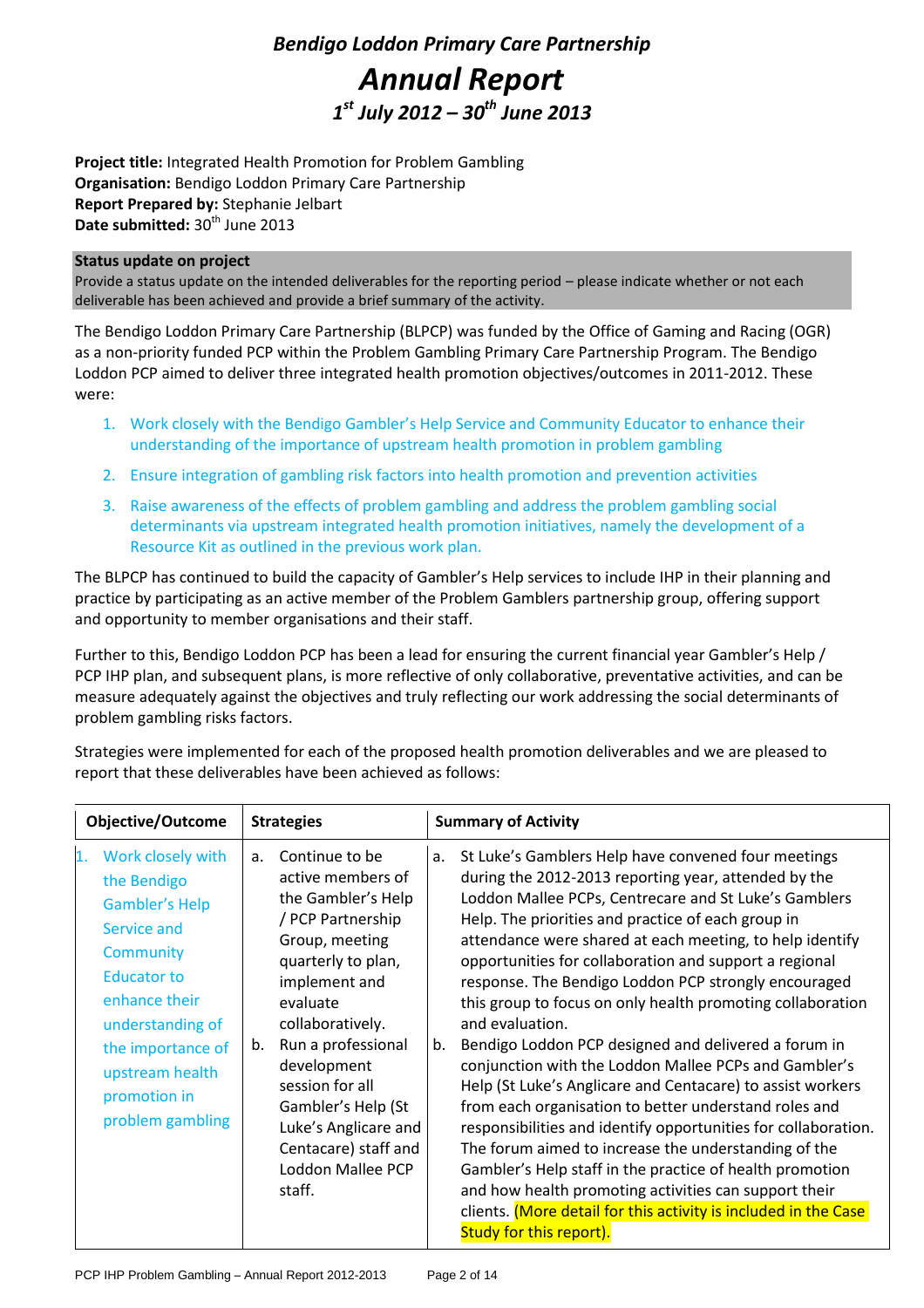# *Bendigo Loddon Primary Care Partnership Annual Report 1 st July 2012 – 30th June 2013*

**Project title:** Integrated Health Promotion for Problem Gambling **Organisation:** Bendigo Loddon Primary Care Partnership **Report Prepared by:** Stephanie Jelbart Date submitted: 30<sup>th</sup> June 2013

#### **Status update on project**

Provide a status update on the intended deliverables for the reporting period – please indicate whether or not each deliverable has been achieved and provide a brief summary of the activity.

The Bendigo Loddon Primary Care Partnership (BLPCP) was funded by the Office of Gaming and Racing (OGR) as a non-priority funded PCP within the Problem Gambling Primary Care Partnership Program. The Bendigo Loddon PCP aimed to deliver three integrated health promotion objectives/outcomes in 2011-2012. These were:

- 1. Work closely with the Bendigo Gambler's Help Service and Community Educator to enhance their understanding of the importance of upstream health promotion in problem gambling
- 2. Ensure integration of gambling risk factors into health promotion and prevention activities
- 3. Raise awareness of the effects of problem gambling and address the problem gambling social determinants via upstream integrated health promotion initiatives, namely the development of a Resource Kit as outlined in the previous work plan.

The BLPCP has continued to build the capacity of Gambler's Help services to include IHP in their planning and practice by participating as an active member of the Problem Gamblers partnership group, offering support and opportunity to member organisations and their staff.

Further to this, Bendigo Loddon PCP has been a lead for ensuring the current financial year Gambler's Help / PCP IHP plan, and subsequent plans, is more reflective of only collaborative, preventative activities, and can be measure adequately against the objectives and truly reflecting our work addressing the social determinants of problem gambling risks factors.

Strategies were implemented for each of the proposed health promotion deliverables and we are pleased to report that these deliverables have been achieved as follows:

| <b>Objective/Outcome</b><br><b>Strategies</b>                                                                                                                                                                                             |                                                                                                                                                                                                                                                                                                                                                           | <b>Summary of Activity</b>                                                                                                                                                                                                                                                                                                                                                                                                                                                                                                                                                                                                                                                                                                                                                                                                                                                                                                                                                                                                                                                                 |  |  |
|-------------------------------------------------------------------------------------------------------------------------------------------------------------------------------------------------------------------------------------------|-----------------------------------------------------------------------------------------------------------------------------------------------------------------------------------------------------------------------------------------------------------------------------------------------------------------------------------------------------------|--------------------------------------------------------------------------------------------------------------------------------------------------------------------------------------------------------------------------------------------------------------------------------------------------------------------------------------------------------------------------------------------------------------------------------------------------------------------------------------------------------------------------------------------------------------------------------------------------------------------------------------------------------------------------------------------------------------------------------------------------------------------------------------------------------------------------------------------------------------------------------------------------------------------------------------------------------------------------------------------------------------------------------------------------------------------------------------------|--|--|
| Work closely with<br>1.<br>the Bendigo<br><b>Gambler's Help</b><br>Service and<br><b>Community</b><br><b>Educator to</b><br>enhance their<br>understanding of<br>the importance of<br>upstream health<br>promotion in<br>problem gambling | Continue to be<br>$a_{\cdot}$<br>active members of<br>the Gambler's Help<br>/ PCP Partnership<br>Group, meeting<br>quarterly to plan,<br>implement and<br>evaluate<br>collaboratively.<br>Run a professional<br>b.<br>development<br>session for all<br>Gambler's Help (St<br>Luke's Anglicare and<br>Centacare) staff and<br>Loddon Mallee PCP<br>staff. | St Luke's Gamblers Help have convened four meetings<br>a.<br>during the 2012-2013 reporting year, attended by the<br>Loddon Mallee PCPs, Centrecare and St Luke's Gamblers<br>Help. The priorities and practice of each group in<br>attendance were shared at each meeting, to help identify<br>opportunities for collaboration and support a regional<br>response. The Bendigo Loddon PCP strongly encouraged<br>this group to focus on only health promoting collaboration<br>and evaluation.<br>Bendigo Loddon PCP designed and delivered a forum in<br>b.<br>conjunction with the Loddon Mallee PCPs and Gambler's<br>Help (St Luke's Anglicare and Centacare) to assist workers<br>from each organisation to better understand roles and<br>responsibilities and identify opportunities for collaboration.<br>The forum aimed to increase the understanding of the<br>Gambler's Help staff in the practice of health promotion<br>and how health promoting activities can support their<br>clients. (More detail for this activity is included in the Case<br>Study for this report). |  |  |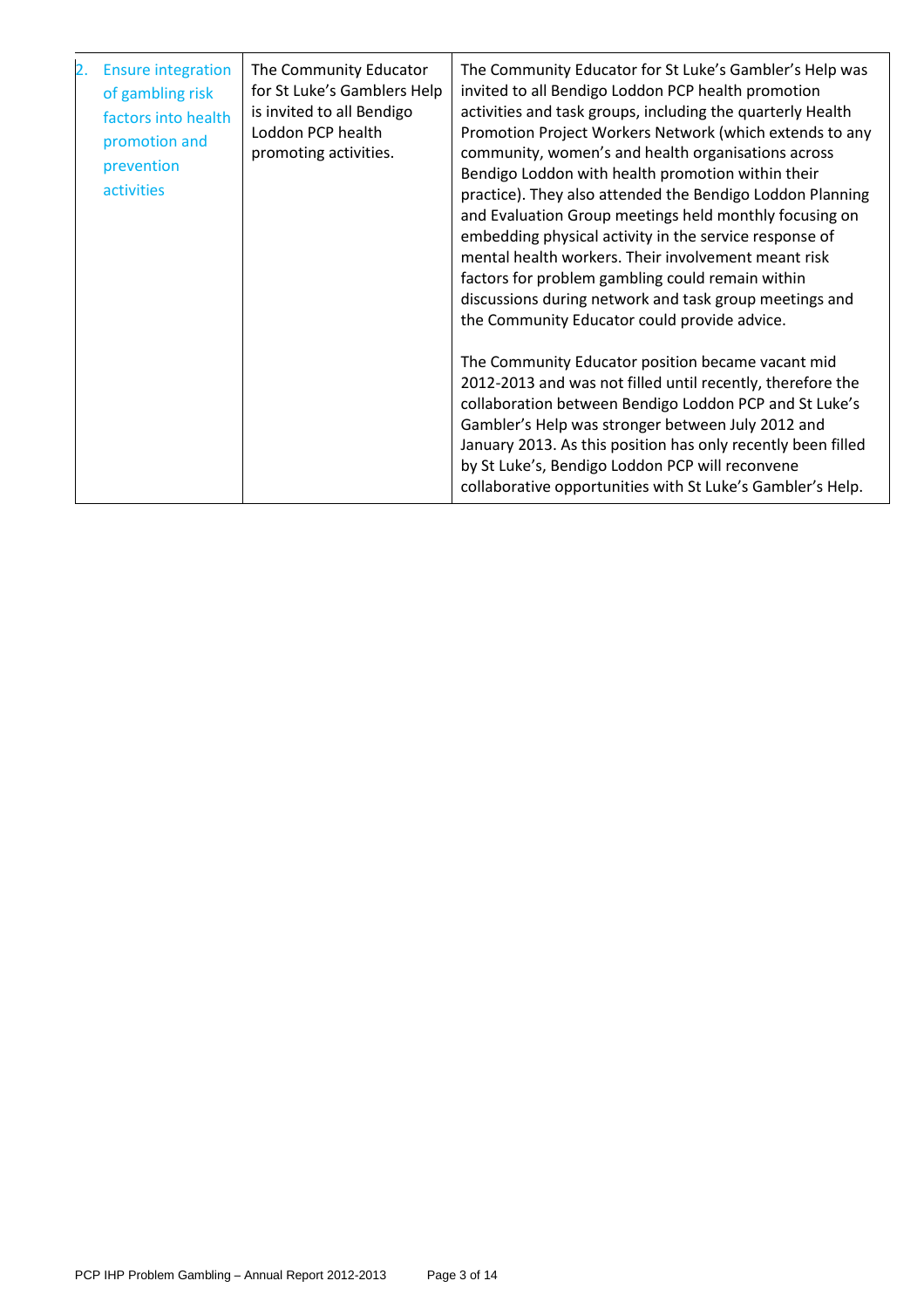| 2. | <b>Ensure integration</b><br>of gambling risk<br>factors into health<br>promotion and<br>prevention<br>activities | The Community Educator<br>for St Luke's Gamblers Help<br>is invited to all Bendigo<br>Loddon PCP health<br>promoting activities. | The Community Educator for St Luke's Gambler's Help was<br>invited to all Bendigo Loddon PCP health promotion<br>activities and task groups, including the quarterly Health<br>Promotion Project Workers Network (which extends to any<br>community, women's and health organisations across<br>Bendigo Loddon with health promotion within their<br>practice). They also attended the Bendigo Loddon Planning<br>and Evaluation Group meetings held monthly focusing on<br>embedding physical activity in the service response of<br>mental health workers. Their involvement meant risk<br>factors for problem gambling could remain within<br>discussions during network and task group meetings and<br>the Community Educator could provide advice. |
|----|-------------------------------------------------------------------------------------------------------------------|----------------------------------------------------------------------------------------------------------------------------------|---------------------------------------------------------------------------------------------------------------------------------------------------------------------------------------------------------------------------------------------------------------------------------------------------------------------------------------------------------------------------------------------------------------------------------------------------------------------------------------------------------------------------------------------------------------------------------------------------------------------------------------------------------------------------------------------------------------------------------------------------------|
|    |                                                                                                                   |                                                                                                                                  | The Community Educator position became vacant mid<br>2012-2013 and was not filled until recently, therefore the<br>collaboration between Bendigo Loddon PCP and St Luke's<br>Gambler's Help was stronger between July 2012 and<br>January 2013. As this position has only recently been filled<br>by St Luke's, Bendigo Loddon PCP will reconvene<br>collaborative opportunities with St Luke's Gambler's Help.                                                                                                                                                                                                                                                                                                                                         |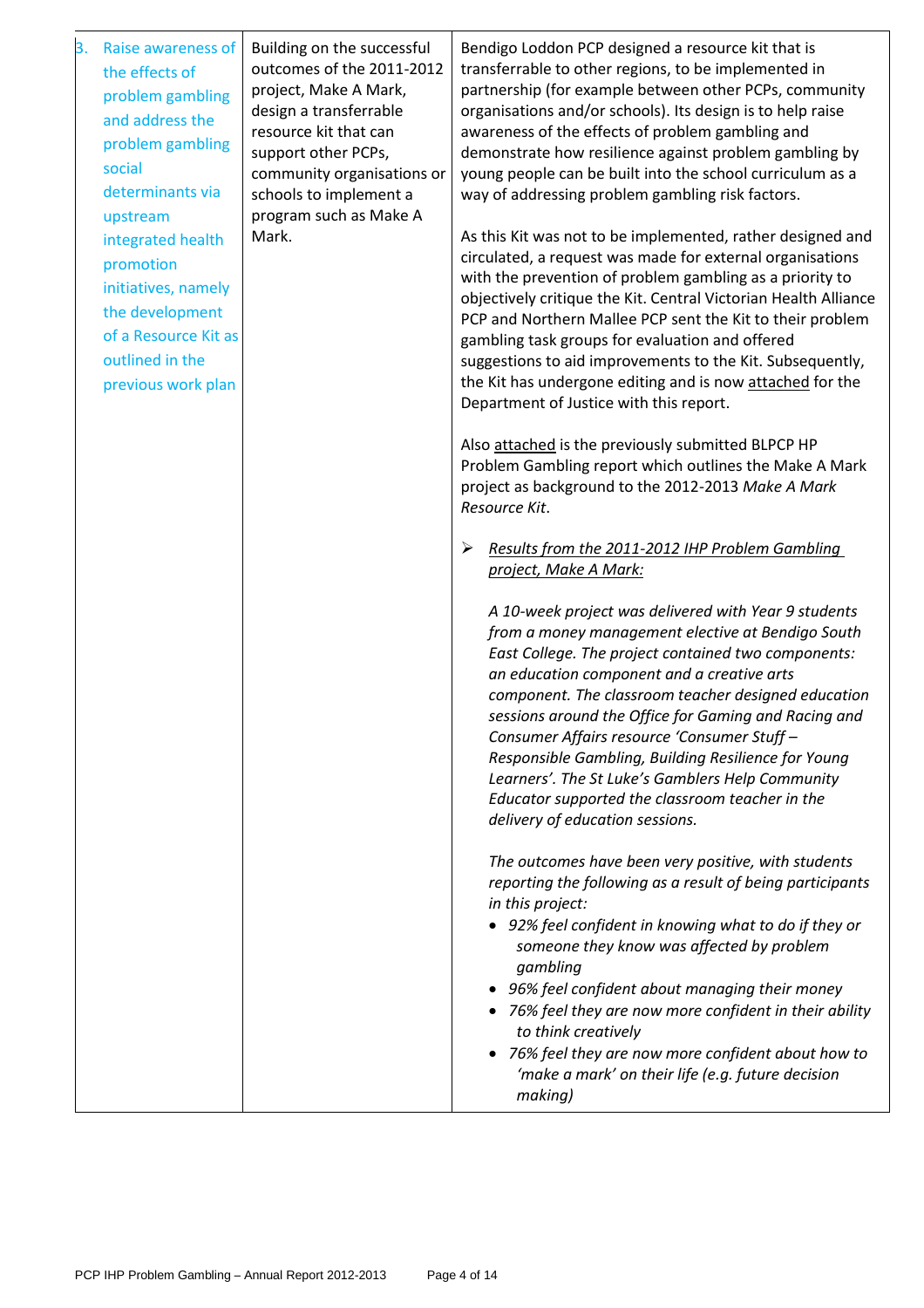| Raise awareness of<br>3.<br>the effects of<br>problem gambling<br>and address the<br>problem gambling<br>social<br>determinants via                   | Building on the successful<br>outcomes of the 2011-2012<br>project, Make A Mark,<br>design a transferrable<br>resource kit that can<br>support other PCPs,<br>community organisations or<br>schools to implement a | Bendigo Loddon PCP designed a resource kit that is<br>transferrable to other regions, to be implemented in<br>partnership (for example between other PCPs, community<br>organisations and/or schools). Its design is to help raise<br>awareness of the effects of problem gambling and<br>demonstrate how resilience against problem gambling by<br>young people can be built into the school curriculum as a<br>way of addressing problem gambling risk factors.                                                                                                             |
|-------------------------------------------------------------------------------------------------------------------------------------------------------|--------------------------------------------------------------------------------------------------------------------------------------------------------------------------------------------------------------------|-------------------------------------------------------------------------------------------------------------------------------------------------------------------------------------------------------------------------------------------------------------------------------------------------------------------------------------------------------------------------------------------------------------------------------------------------------------------------------------------------------------------------------------------------------------------------------|
| upstream<br>integrated health<br>promotion<br>initiatives, namely<br>the development<br>of a Resource Kit as<br>outlined in the<br>previous work plan | program such as Make A<br>Mark.                                                                                                                                                                                    | As this Kit was not to be implemented, rather designed and<br>circulated, a request was made for external organisations<br>with the prevention of problem gambling as a priority to<br>objectively critique the Kit. Central Victorian Health Alliance<br>PCP and Northern Mallee PCP sent the Kit to their problem<br>gambling task groups for evaluation and offered<br>suggestions to aid improvements to the Kit. Subsequently,<br>the Kit has undergone editing and is now attached for the<br>Department of Justice with this report.                                   |
|                                                                                                                                                       |                                                                                                                                                                                                                    | Also attached is the previously submitted BLPCP HP<br>Problem Gambling report which outlines the Make A Mark<br>project as background to the 2012-2013 Make A Mark<br>Resource Kit.                                                                                                                                                                                                                                                                                                                                                                                           |
|                                                                                                                                                       |                                                                                                                                                                                                                    | Results from the 2011-2012 IHP Problem Gambling<br>➤<br>project, Make A Mark:                                                                                                                                                                                                                                                                                                                                                                                                                                                                                                 |
|                                                                                                                                                       |                                                                                                                                                                                                                    | A 10-week project was delivered with Year 9 students<br>from a money management elective at Bendigo South<br>East College. The project contained two components:<br>an education component and a creative arts<br>component. The classroom teacher designed education<br>sessions around the Office for Gaming and Racing and<br>Consumer Affairs resource 'Consumer Stuff -<br>Responsible Gambling, Building Resilience for Young<br>Learners'. The St Luke's Gamblers Help Community<br>Educator supported the classroom teacher in the<br>delivery of education sessions. |
|                                                                                                                                                       |                                                                                                                                                                                                                    | The outcomes have been very positive, with students<br>reporting the following as a result of being participants<br>in this project:<br>• 92% feel confident in knowing what to do if they or<br>someone they know was affected by problem<br>gambling<br>96% feel confident about managing their money<br>76% feel they are now more confident in their ability<br>to think creatively<br>• 76% feel they are now more confident about how to<br>'make a mark' on their life (e.g. future decision<br>making)                                                                |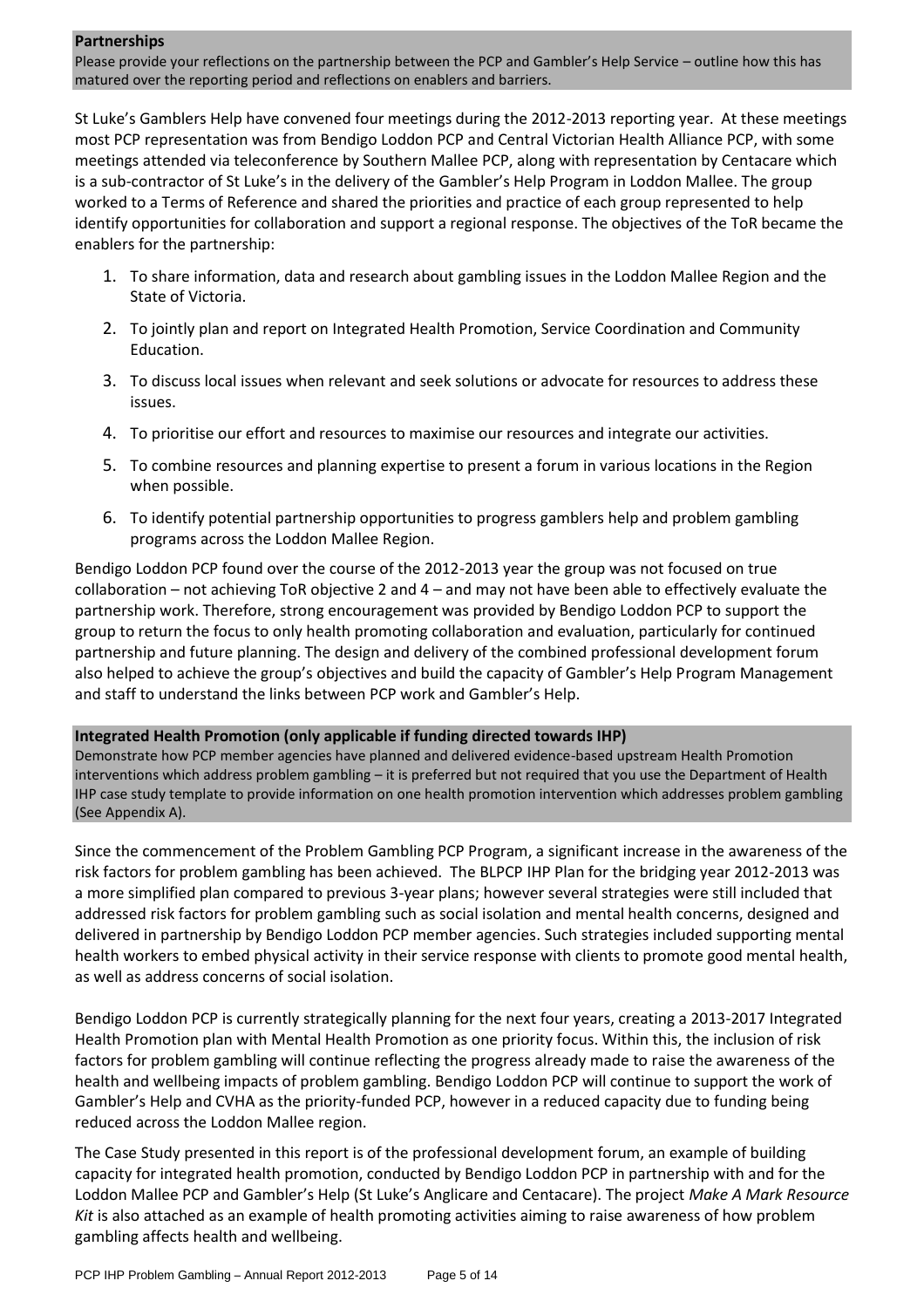#### **Partnerships**

Please provide your reflections on the partnership between the PCP and Gambler's Help Service – outline how this has matured over the reporting period and reflections on enablers and barriers.

St Luke's Gamblers Help have convened four meetings during the 2012-2013 reporting year. At these meetings most PCP representation was from Bendigo Loddon PCP and Central Victorian Health Alliance PCP, with some meetings attended via teleconference by Southern Mallee PCP, along with representation by Centacare which is a sub-contractor of St Luke's in the delivery of the Gambler's Help Program in Loddon Mallee. The group worked to a Terms of Reference and shared the priorities and practice of each group represented to help identify opportunities for collaboration and support a regional response. The objectives of the ToR became the enablers for the partnership:

- 1. To share information, data and research about gambling issues in the Loddon Mallee Region and the State of Victoria.
- 2. To jointly plan and report on Integrated Health Promotion, Service Coordination and Community Education.
- 3. To discuss local issues when relevant and seek solutions or advocate for resources to address these issues.
- 4. To prioritise our effort and resources to maximise our resources and integrate our activities.
- 5. To combine resources and planning expertise to present a forum in various locations in the Region when possible.
- 6. To identify potential partnership opportunities to progress gamblers help and problem gambling programs across the Loddon Mallee Region.

Bendigo Loddon PCP found over the course of the 2012-2013 year the group was not focused on true collaboration – not achieving ToR objective 2 and 4 – and may not have been able to effectively evaluate the partnership work. Therefore, strong encouragement was provided by Bendigo Loddon PCP to support the group to return the focus to only health promoting collaboration and evaluation, particularly for continued partnership and future planning. The design and delivery of the combined professional development forum also helped to achieve the group's objectives and build the capacity of Gambler's Help Program Management and staff to understand the links between PCP work and Gambler's Help.

#### **Integrated Health Promotion (only applicable if funding directed towards IHP)**

Demonstrate how PCP member agencies have planned and delivered evidence-based upstream Health Promotion interventions which address problem gambling – it is preferred but not required that you use the Department of Health IHP case study template to provide information on one health promotion intervention which addresses problem gambling (See Appendix A).

Since the commencement of the Problem Gambling PCP Program, a significant increase in the awareness of the risk factors for problem gambling has been achieved. The BLPCP IHP Plan for the bridging year 2012-2013 was a more simplified plan compared to previous 3-year plans; however several strategies were still included that addressed risk factors for problem gambling such as social isolation and mental health concerns, designed and delivered in partnership by Bendigo Loddon PCP member agencies. Such strategies included supporting mental health workers to embed physical activity in their service response with clients to promote good mental health, as well as address concerns of social isolation.

Bendigo Loddon PCP is currently strategically planning for the next four years, creating a 2013-2017 Integrated Health Promotion plan with Mental Health Promotion as one priority focus. Within this, the inclusion of risk factors for problem gambling will continue reflecting the progress already made to raise the awareness of the health and wellbeing impacts of problem gambling. Bendigo Loddon PCP will continue to support the work of Gambler's Help and CVHA as the priority-funded PCP, however in a reduced capacity due to funding being reduced across the Loddon Mallee region.

The Case Study presented in this report is of the professional development forum, an example of building capacity for integrated health promotion, conducted by Bendigo Loddon PCP in partnership with and for the Loddon Mallee PCP and Gambler's Help (St Luke's Anglicare and Centacare). The project *Make A Mark Resource Kit* is also attached as an example of health promoting activities aiming to raise awareness of how problem gambling affects health and wellbeing.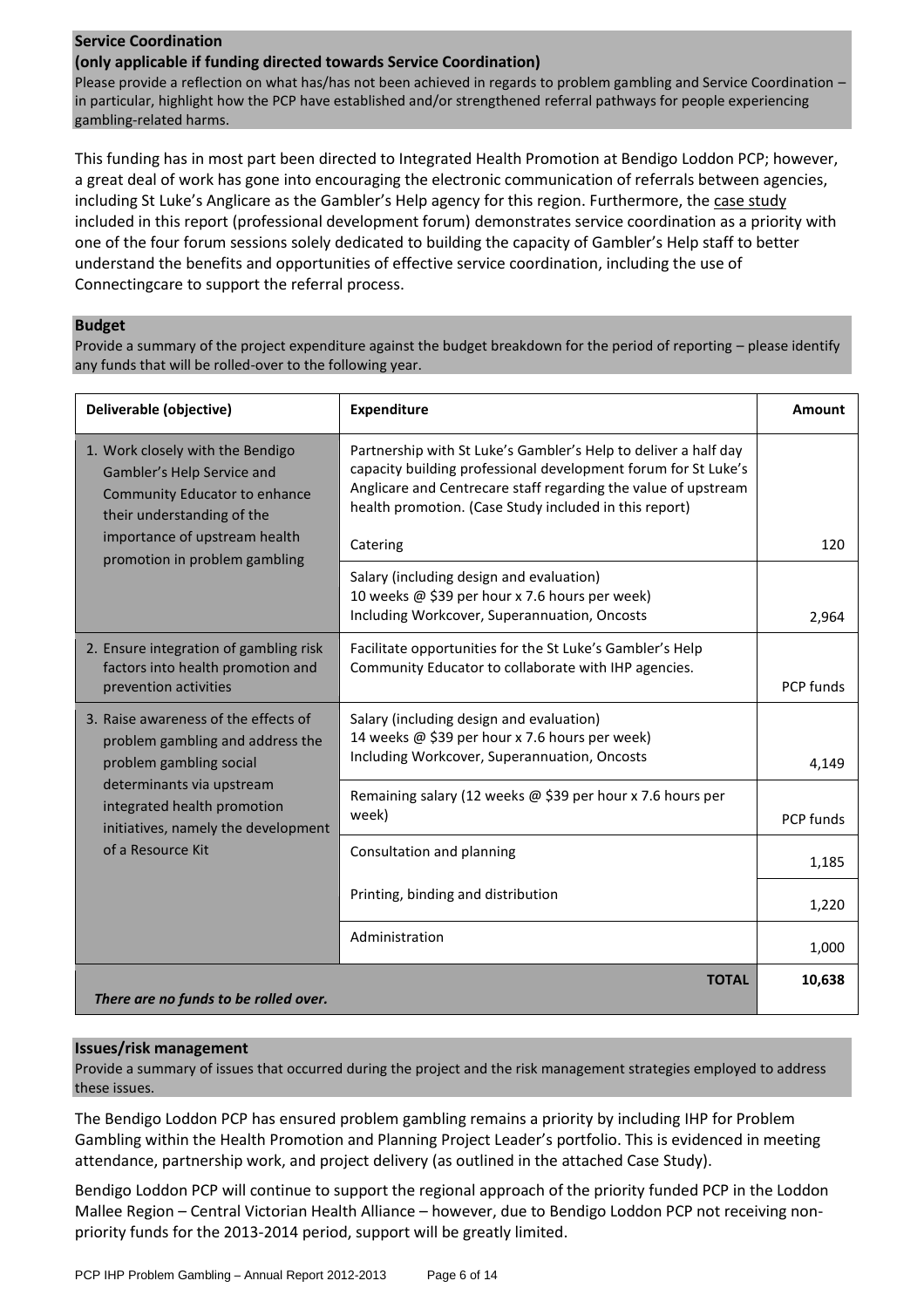#### **Service Coordination**

#### **(only applicable if funding directed towards Service Coordination)**

Please provide a reflection on what has/has not been achieved in regards to problem gambling and Service Coordination – in particular, highlight how the PCP have established and/or strengthened referral pathways for people experiencing gambling-related harms.

This funding has in most part been directed to Integrated Health Promotion at Bendigo Loddon PCP; however, a great deal of work has gone into encouraging the electronic communication of referrals between agencies, including St Luke's Anglicare as the Gambler's Help agency for this region. Furthermore, the case study included in this report (professional development forum) demonstrates service coordination as a priority with one of the four forum sessions solely dedicated to building the capacity of Gambler's Help staff to better understand the benefits and opportunities of effective service coordination, including the use of Connectingcare to support the referral process.

#### **Budget**

Provide a summary of the project expenditure against the budget breakdown for the period of reporting – please identify any funds that will be rolled-over to the following year.

| Deliverable (objective)                                                                                                       | <b>Expenditure</b>                                                                                                                                                                                                                                            | Amount    |
|-------------------------------------------------------------------------------------------------------------------------------|---------------------------------------------------------------------------------------------------------------------------------------------------------------------------------------------------------------------------------------------------------------|-----------|
| 1. Work closely with the Bendigo<br>Gambler's Help Service and<br>Community Educator to enhance<br>their understanding of the | Partnership with St Luke's Gambler's Help to deliver a half day<br>capacity building professional development forum for St Luke's<br>Anglicare and Centrecare staff regarding the value of upstream<br>health promotion. (Case Study included in this report) |           |
| importance of upstream health<br>promotion in problem gambling                                                                | Catering                                                                                                                                                                                                                                                      | 120       |
|                                                                                                                               | Salary (including design and evaluation)<br>10 weeks @ \$39 per hour x 7.6 hours per week)<br>Including Workcover, Superannuation, Oncosts                                                                                                                    | 2,964     |
| 2. Ensure integration of gambling risk<br>factors into health promotion and<br>prevention activities                          | Facilitate opportunities for the St Luke's Gambler's Help<br>Community Educator to collaborate with IHP agencies.                                                                                                                                             | PCP funds |
| 3. Raise awareness of the effects of<br>problem gambling and address the<br>problem gambling social                           | Salary (including design and evaluation)<br>14 weeks @ \$39 per hour x 7.6 hours per week)<br>Including Workcover, Superannuation, Oncosts                                                                                                                    | 4,149     |
| determinants via upstream<br>integrated health promotion<br>initiatives, namely the development                               | Remaining salary (12 weeks @ \$39 per hour x 7.6 hours per<br>week)                                                                                                                                                                                           | PCP funds |
| of a Resource Kit                                                                                                             | Consultation and planning                                                                                                                                                                                                                                     | 1,185     |
|                                                                                                                               | Printing, binding and distribution                                                                                                                                                                                                                            | 1,220     |
|                                                                                                                               | Administration                                                                                                                                                                                                                                                | 1,000     |
| There are no funds to be rolled over.                                                                                         | <b>TOTAL</b>                                                                                                                                                                                                                                                  | 10,638    |

#### **Issues/risk management**

Provide a summary of issues that occurred during the project and the risk management strategies employed to address these issues.

The Bendigo Loddon PCP has ensured problem gambling remains a priority by including IHP for Problem Gambling within the Health Promotion and Planning Project Leader's portfolio. This is evidenced in meeting attendance, partnership work, and project delivery (as outlined in the attached Case Study).

Bendigo Loddon PCP will continue to support the regional approach of the priority funded PCP in the Loddon Mallee Region – Central Victorian Health Alliance – however, due to Bendigo Loddon PCP not receiving nonpriority funds for the 2013-2014 period, support will be greatly limited.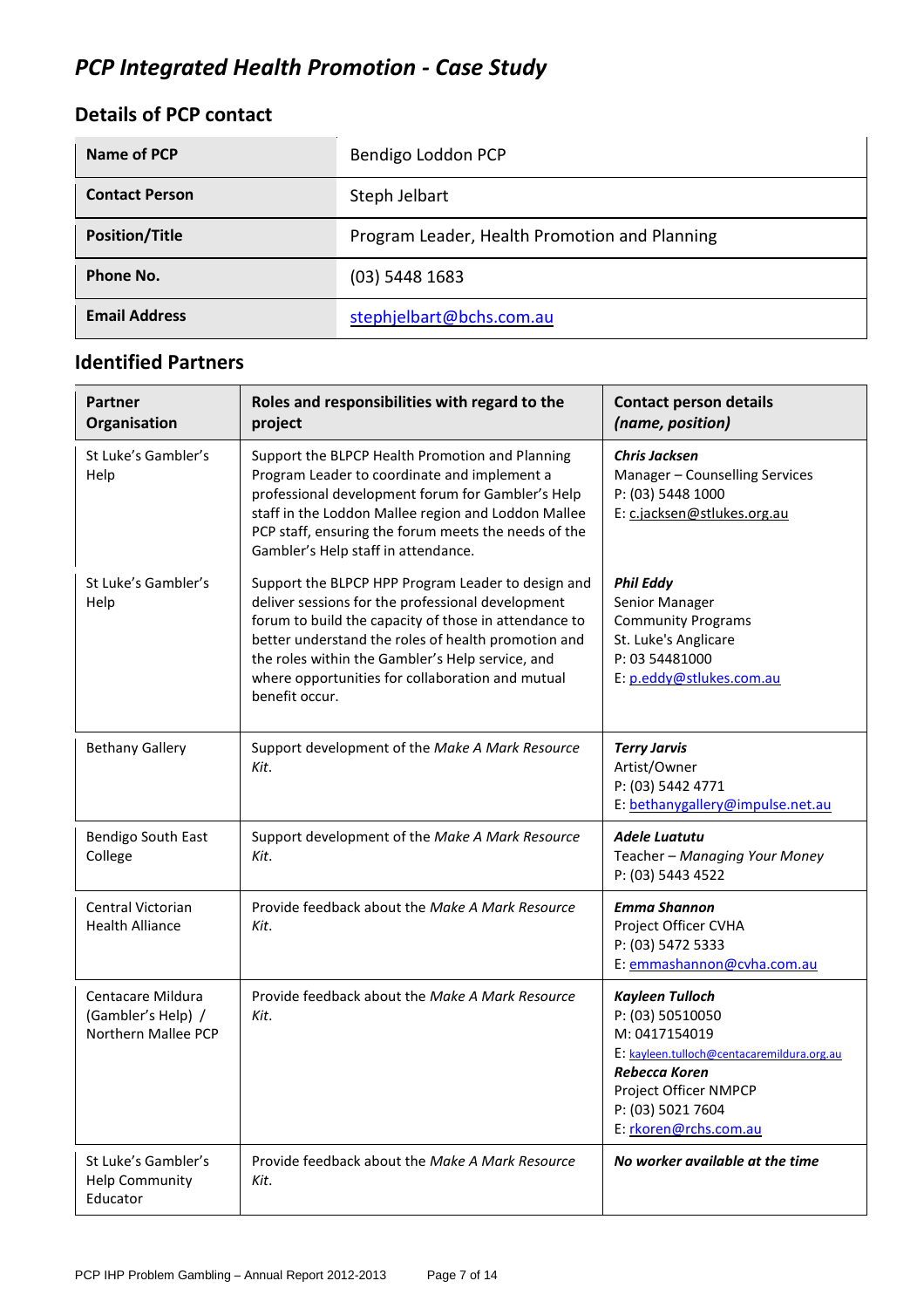# *PCP Integrated Health Promotion - Case Study*

## **Details of PCP contact**

| Name of PCP           | Bendigo Loddon PCP                            |
|-----------------------|-----------------------------------------------|
| <b>Contact Person</b> | Steph Jelbart                                 |
| <b>Position/Title</b> | Program Leader, Health Promotion and Planning |
| Phone No.             | $(03)$ 5448 1683                              |
| <b>Email Address</b>  | stephjelbart@bchs.com.au                      |

## **Identified Partners**

| Partner<br>Organisation                                        | Roles and responsibilities with regard to the<br>project                                                                                                                                                                                                                                                                                          | <b>Contact person details</b><br>(name, position)                                                                                                                                                 |
|----------------------------------------------------------------|---------------------------------------------------------------------------------------------------------------------------------------------------------------------------------------------------------------------------------------------------------------------------------------------------------------------------------------------------|---------------------------------------------------------------------------------------------------------------------------------------------------------------------------------------------------|
| St Luke's Gambler's<br>Help                                    | Support the BLPCP Health Promotion and Planning<br>Program Leader to coordinate and implement a<br>professional development forum for Gambler's Help<br>staff in the Loddon Mallee region and Loddon Mallee<br>PCP staff, ensuring the forum meets the needs of the<br>Gambler's Help staff in attendance.                                        | <b>Chris Jacksen</b><br>Manager - Counselling Services<br>P: (03) 5448 1000<br>E: c.jacksen@stlukes.org.au                                                                                        |
| St Luke's Gambler's<br>Help                                    | Support the BLPCP HPP Program Leader to design and<br>deliver sessions for the professional development<br>forum to build the capacity of those in attendance to<br>better understand the roles of health promotion and<br>the roles within the Gambler's Help service, and<br>where opportunities for collaboration and mutual<br>benefit occur. | <b>Phil Eddy</b><br>Senior Manager<br><b>Community Programs</b><br>St. Luke's Anglicare<br>P: 03 54481000<br>E: p.eddy@stlukes.com.au                                                             |
| <b>Bethany Gallery</b>                                         | Support development of the Make A Mark Resource<br>Kit.                                                                                                                                                                                                                                                                                           | <b>Terry Jarvis</b><br>Artist/Owner<br>P: (03) 5442 4771<br>E: bethanygallery@impulse.net.au                                                                                                      |
| Bendigo South East<br>College                                  | Support development of the Make A Mark Resource<br>Kit.                                                                                                                                                                                                                                                                                           | <b>Adele Luatutu</b><br>Teacher - Managing Your Money<br>P: (03) 5443 4522                                                                                                                        |
| Central Victorian<br><b>Health Alliance</b>                    | Provide feedback about the Make A Mark Resource<br>Kit.                                                                                                                                                                                                                                                                                           | <b>Emma Shannon</b><br>Project Officer CVHA<br>P: (03) 5472 5333<br>E: emmashannon@cvha.com.au                                                                                                    |
| Centacare Mildura<br>(Gambler's Help) /<br>Northern Mallee PCP | Provide feedback about the Make A Mark Resource<br>Kit.                                                                                                                                                                                                                                                                                           | <b>Kayleen Tulloch</b><br>P: (03) 50510050<br>M: 0417154019<br>E: kayleen.tulloch@centacaremildura.org.au<br>Rebecca Koren<br>Project Officer NMPCP<br>P: (03) 5021 7604<br>E: rkoren@rchs.com.au |
| St Luke's Gambler's<br><b>Help Community</b><br>Educator       | Provide feedback about the Make A Mark Resource<br>Kit.                                                                                                                                                                                                                                                                                           | No worker available at the time                                                                                                                                                                   |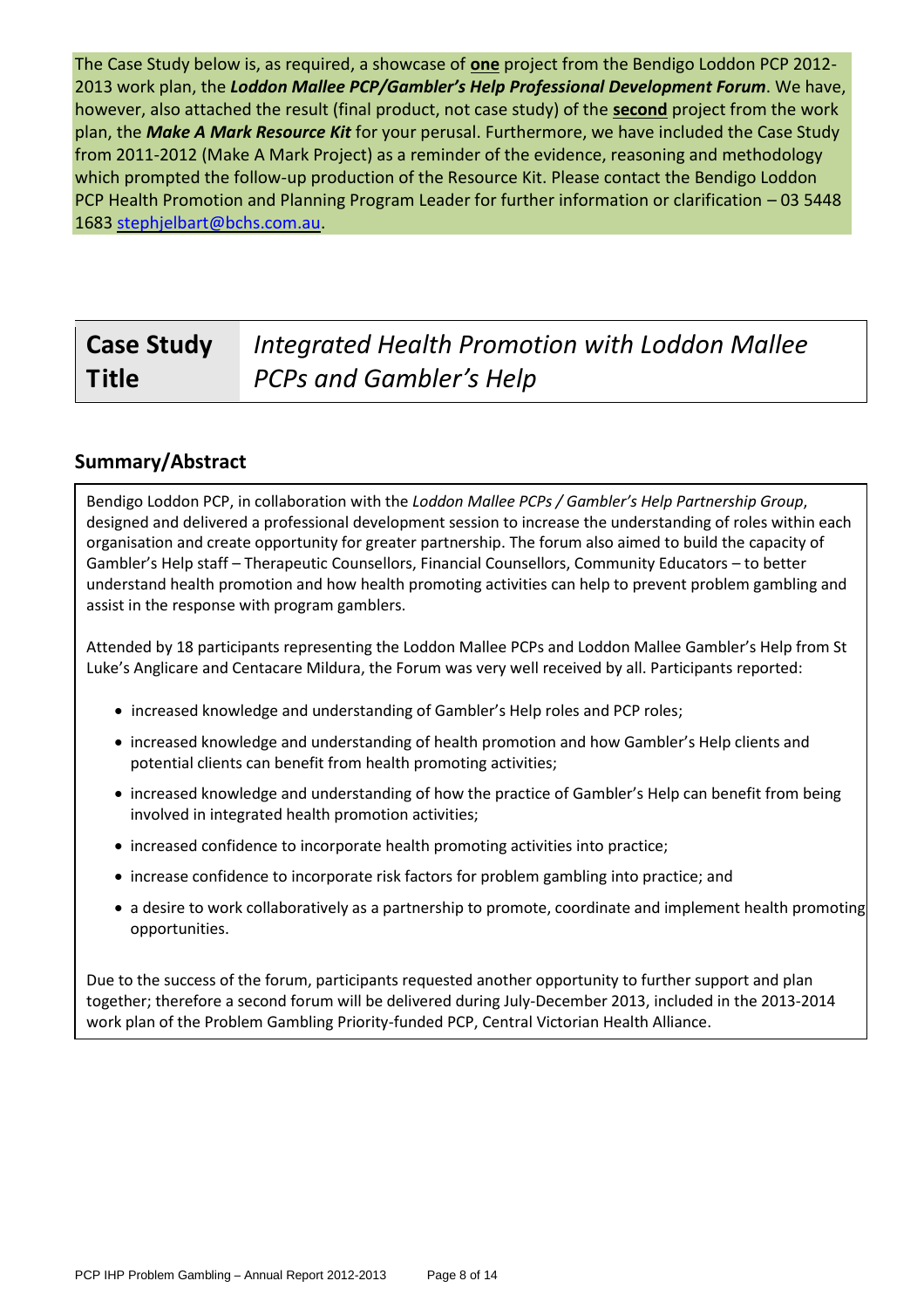The Case Study below is, as required, a showcase of **one** project from the Bendigo Loddon PCP 2012- 2013 work plan, the *Loddon Mallee PCP/Gambler's Help Professional Development Forum*. We have, however, also attached the result (final product, not case study) of the **second** project from the work plan, the *Make A Mark Resource Kit* for your perusal. Furthermore, we have included the Case Study from 2011-2012 (Make A Mark Project) as a reminder of the evidence, reasoning and methodology which prompted the follow-up production of the Resource Kit. Please contact the Bendigo Loddon PCP Health Promotion and Planning Program Leader for further information or clarification – 03 5448 1683 [stephjelbart@bchs.com.au.](mailto:stephjelbart@bchs.com.au)

#### **Case Study Title**  *Integrated Health Promotion with Loddon Mallee PCPs and Gambler's Help*

### **Summary/Abstract**

Bendigo Loddon PCP, in collaboration with the *Loddon Mallee PCPs / Gambler's Help Partnership Group*, designed and delivered a professional development session to increase the understanding of roles within each organisation and create opportunity for greater partnership. The forum also aimed to build the capacity of Gambler's Help staff – Therapeutic Counsellors, Financial Counsellors, Community Educators – to better understand health promotion and how health promoting activities can help to prevent problem gambling and assist in the response with program gamblers.

Attended by 18 participants representing the Loddon Mallee PCPs and Loddon Mallee Gambler's Help from St Luke's Anglicare and Centacare Mildura, the Forum was very well received by all. Participants reported:

- increased knowledge and understanding of Gambler's Help roles and PCP roles;
- increased knowledge and understanding of health promotion and how Gambler's Help clients and potential clients can benefit from health promoting activities;
- increased knowledge and understanding of how the practice of Gambler's Help can benefit from being involved in integrated health promotion activities;
- increased confidence to incorporate health promoting activities into practice;
- increase confidence to incorporate risk factors for problem gambling into practice; and
- a desire to work collaboratively as a partnership to promote, coordinate and implement health promoting opportunities.

Due to the success of the forum, participants requested another opportunity to further support and plan together; therefore a second forum will be delivered during July-December 2013, included in the 2013-2014 work plan of the Problem Gambling Priority-funded PCP, Central Victorian Health Alliance.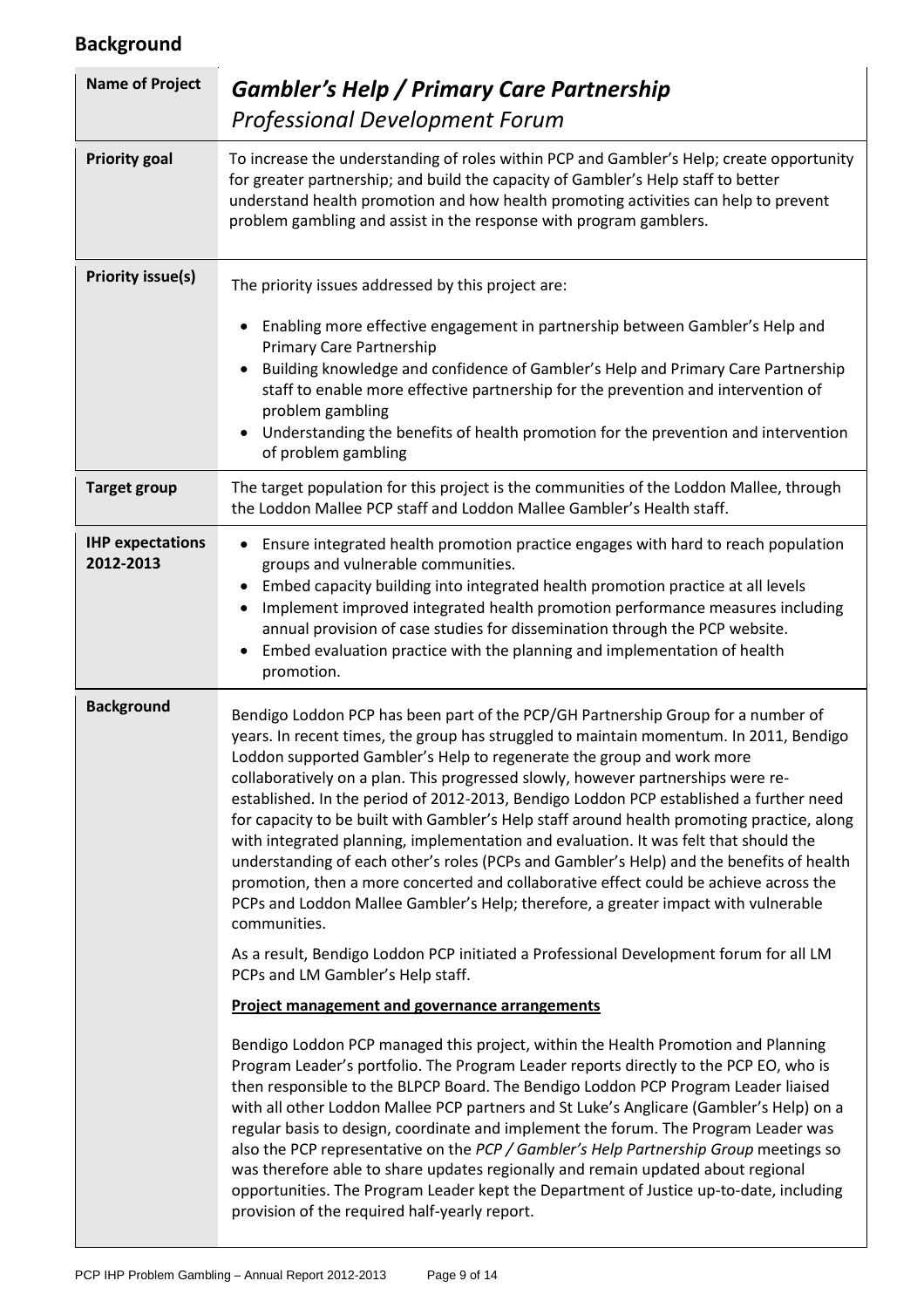# **Background**

| <b>Name of Project</b>               | <b>Gambler's Help / Primary Care Partnership</b><br><b>Professional Development Forum</b>                                                                                                                                                                                                                                                                                                                                                                                                                                                                                                                                                                                                                                                                                                                                                                                                                                                                                                                                                                                                                                                                                                                                                                                                                                                                                                                                                                                                                                                                                                                                                                                                                                                                                                                                                                                               |
|--------------------------------------|-----------------------------------------------------------------------------------------------------------------------------------------------------------------------------------------------------------------------------------------------------------------------------------------------------------------------------------------------------------------------------------------------------------------------------------------------------------------------------------------------------------------------------------------------------------------------------------------------------------------------------------------------------------------------------------------------------------------------------------------------------------------------------------------------------------------------------------------------------------------------------------------------------------------------------------------------------------------------------------------------------------------------------------------------------------------------------------------------------------------------------------------------------------------------------------------------------------------------------------------------------------------------------------------------------------------------------------------------------------------------------------------------------------------------------------------------------------------------------------------------------------------------------------------------------------------------------------------------------------------------------------------------------------------------------------------------------------------------------------------------------------------------------------------------------------------------------------------------------------------------------------------|
| <b>Priority goal</b>                 | To increase the understanding of roles within PCP and Gambler's Help; create opportunity<br>for greater partnership; and build the capacity of Gambler's Help staff to better<br>understand health promotion and how health promoting activities can help to prevent<br>problem gambling and assist in the response with program gamblers.                                                                                                                                                                                                                                                                                                                                                                                                                                                                                                                                                                                                                                                                                                                                                                                                                                                                                                                                                                                                                                                                                                                                                                                                                                                                                                                                                                                                                                                                                                                                              |
| <b>Priority issue(s)</b>             | The priority issues addressed by this project are:<br>Enabling more effective engagement in partnership between Gambler's Help and<br>$\bullet$<br>Primary Care Partnership<br>Building knowledge and confidence of Gambler's Help and Primary Care Partnership<br>staff to enable more effective partnership for the prevention and intervention of<br>problem gambling<br>Understanding the benefits of health promotion for the prevention and intervention<br>of problem gambling                                                                                                                                                                                                                                                                                                                                                                                                                                                                                                                                                                                                                                                                                                                                                                                                                                                                                                                                                                                                                                                                                                                                                                                                                                                                                                                                                                                                   |
| <b>Target group</b>                  | The target population for this project is the communities of the Loddon Mallee, through<br>the Loddon Mallee PCP staff and Loddon Mallee Gambler's Health staff.                                                                                                                                                                                                                                                                                                                                                                                                                                                                                                                                                                                                                                                                                                                                                                                                                                                                                                                                                                                                                                                                                                                                                                                                                                                                                                                                                                                                                                                                                                                                                                                                                                                                                                                        |
| <b>IHP expectations</b><br>2012-2013 | Ensure integrated health promotion practice engages with hard to reach population<br>groups and vulnerable communities.<br>Embed capacity building into integrated health promotion practice at all levels<br>Implement improved integrated health promotion performance measures including<br>annual provision of case studies for dissemination through the PCP website.<br>Embed evaluation practice with the planning and implementation of health<br>promotion.                                                                                                                                                                                                                                                                                                                                                                                                                                                                                                                                                                                                                                                                                                                                                                                                                                                                                                                                                                                                                                                                                                                                                                                                                                                                                                                                                                                                                    |
| <b>Background</b>                    | Bendigo Loddon PCP has been part of the PCP/GH Partnership Group for a number of<br>years. In recent times, the group has struggled to maintain momentum. In 2011, Bendigo<br>Loddon supported Gambler's Help to regenerate the group and work more<br>collaboratively on a plan. This progressed slowly, however partnerships were re-<br>established. In the period of 2012-2013, Bendigo Loddon PCP established a further need<br>for capacity to be built with Gambler's Help staff around health promoting practice, along<br>with integrated planning, implementation and evaluation. It was felt that should the<br>understanding of each other's roles (PCPs and Gambler's Help) and the benefits of health<br>promotion, then a more concerted and collaborative effect could be achieve across the<br>PCPs and Loddon Mallee Gambler's Help; therefore, a greater impact with vulnerable<br>communities.<br>As a result, Bendigo Loddon PCP initiated a Professional Development forum for all LM<br>PCPs and LM Gambler's Help staff.<br><b>Project management and governance arrangements</b><br>Bendigo Loddon PCP managed this project, within the Health Promotion and Planning<br>Program Leader's portfolio. The Program Leader reports directly to the PCP EO, who is<br>then responsible to the BLPCP Board. The Bendigo Loddon PCP Program Leader liaised<br>with all other Loddon Mallee PCP partners and St Luke's Anglicare (Gambler's Help) on a<br>regular basis to design, coordinate and implement the forum. The Program Leader was<br>also the PCP representative on the PCP / Gambler's Help Partnership Group meetings so<br>was therefore able to share updates regionally and remain updated about regional<br>opportunities. The Program Leader kept the Department of Justice up-to-date, including<br>provision of the required half-yearly report. |

L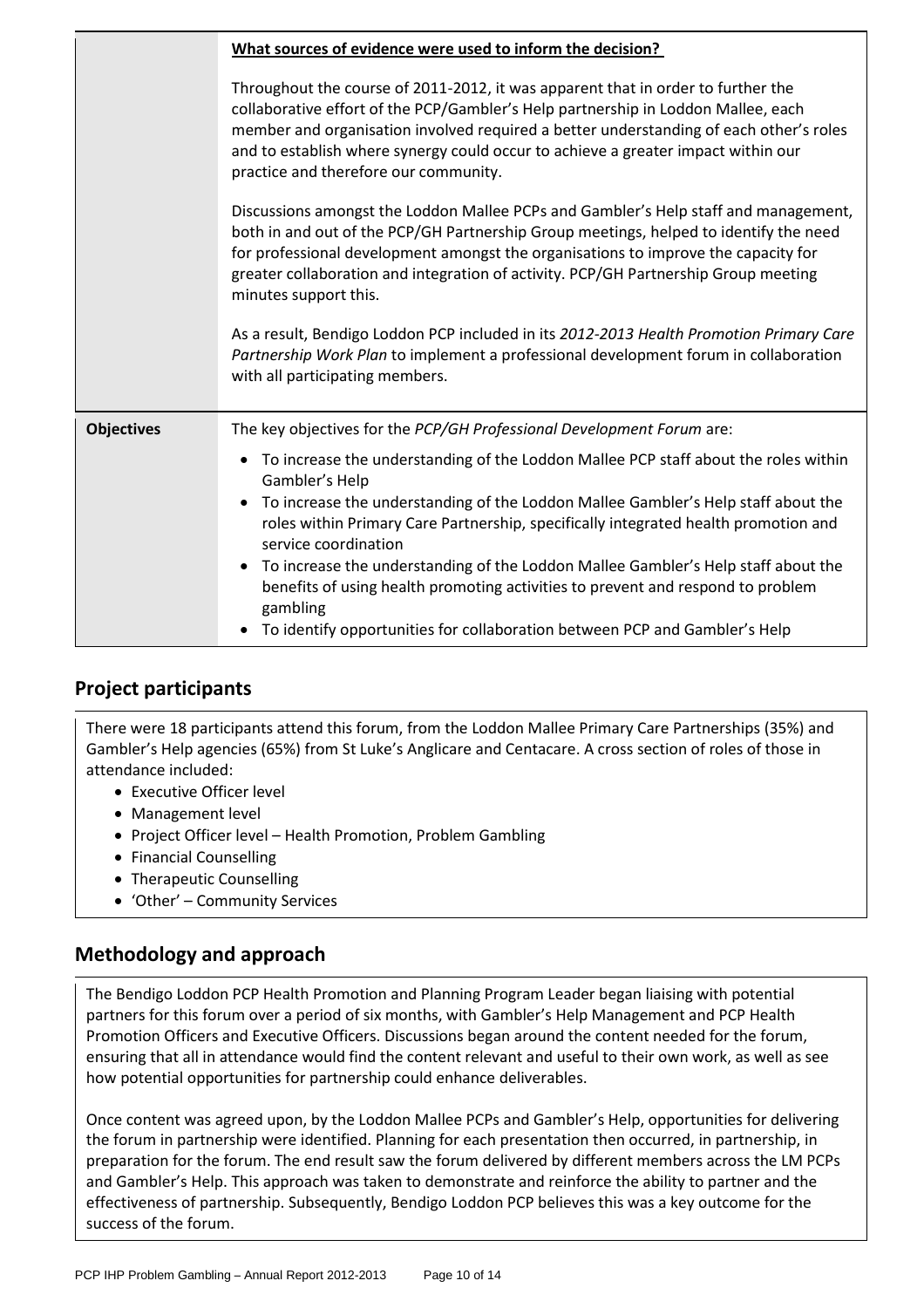|                   | What sources of evidence were used to inform the decision?                                                                                                                                                                                                                                                                                                                                    |  |
|-------------------|-----------------------------------------------------------------------------------------------------------------------------------------------------------------------------------------------------------------------------------------------------------------------------------------------------------------------------------------------------------------------------------------------|--|
|                   | Throughout the course of 2011-2012, it was apparent that in order to further the<br>collaborative effort of the PCP/Gambler's Help partnership in Loddon Mallee, each<br>member and organisation involved required a better understanding of each other's roles<br>and to establish where synergy could occur to achieve a greater impact within our<br>practice and therefore our community. |  |
|                   | Discussions amongst the Loddon Mallee PCPs and Gambler's Help staff and management,<br>both in and out of the PCP/GH Partnership Group meetings, helped to identify the need<br>for professional development amongst the organisations to improve the capacity for<br>greater collaboration and integration of activity. PCP/GH Partnership Group meeting<br>minutes support this.            |  |
|                   | As a result, Bendigo Loddon PCP included in its 2012-2013 Health Promotion Primary Care<br>Partnership Work Plan to implement a professional development forum in collaboration<br>with all participating members.                                                                                                                                                                            |  |
| <b>Objectives</b> | The key objectives for the PCP/GH Professional Development Forum are:                                                                                                                                                                                                                                                                                                                         |  |
|                   | To increase the understanding of the Loddon Mallee PCP staff about the roles within<br>Gambler's Help                                                                                                                                                                                                                                                                                         |  |
|                   | To increase the understanding of the Loddon Mallee Gambler's Help staff about the<br>$\bullet$<br>roles within Primary Care Partnership, specifically integrated health promotion and<br>service coordination                                                                                                                                                                                 |  |
|                   | To increase the understanding of the Loddon Mallee Gambler's Help staff about the<br>$\bullet$<br>benefits of using health promoting activities to prevent and respond to problem<br>gambling                                                                                                                                                                                                 |  |
|                   | To identify opportunities for collaboration between PCP and Gambler's Help                                                                                                                                                                                                                                                                                                                    |  |

### **Project participants**

There were 18 participants attend this forum, from the Loddon Mallee Primary Care Partnerships (35%) and Gambler's Help agencies (65%) from St Luke's Anglicare and Centacare. A cross section of roles of those in attendance included:

- Executive Officer level
- Management level
- Project Officer level Health Promotion, Problem Gambling
- Financial Counselling
- Therapeutic Counselling
- 'Other' Community Services

### **Methodology and approach**

The Bendigo Loddon PCP Health Promotion and Planning Program Leader began liaising with potential partners for this forum over a period of six months, with Gambler's Help Management and PCP Health Promotion Officers and Executive Officers. Discussions began around the content needed for the forum, ensuring that all in attendance would find the content relevant and useful to their own work, as well as see how potential opportunities for partnership could enhance deliverables.

Once content was agreed upon, by the Loddon Mallee PCPs and Gambler's Help, opportunities for delivering the forum in partnership were identified. Planning for each presentation then occurred, in partnership, in preparation for the forum. The end result saw the forum delivered by different members across the LM PCPs and Gambler's Help. This approach was taken to demonstrate and reinforce the ability to partner and the effectiveness of partnership. Subsequently, Bendigo Loddon PCP believes this was a key outcome for the success of the forum.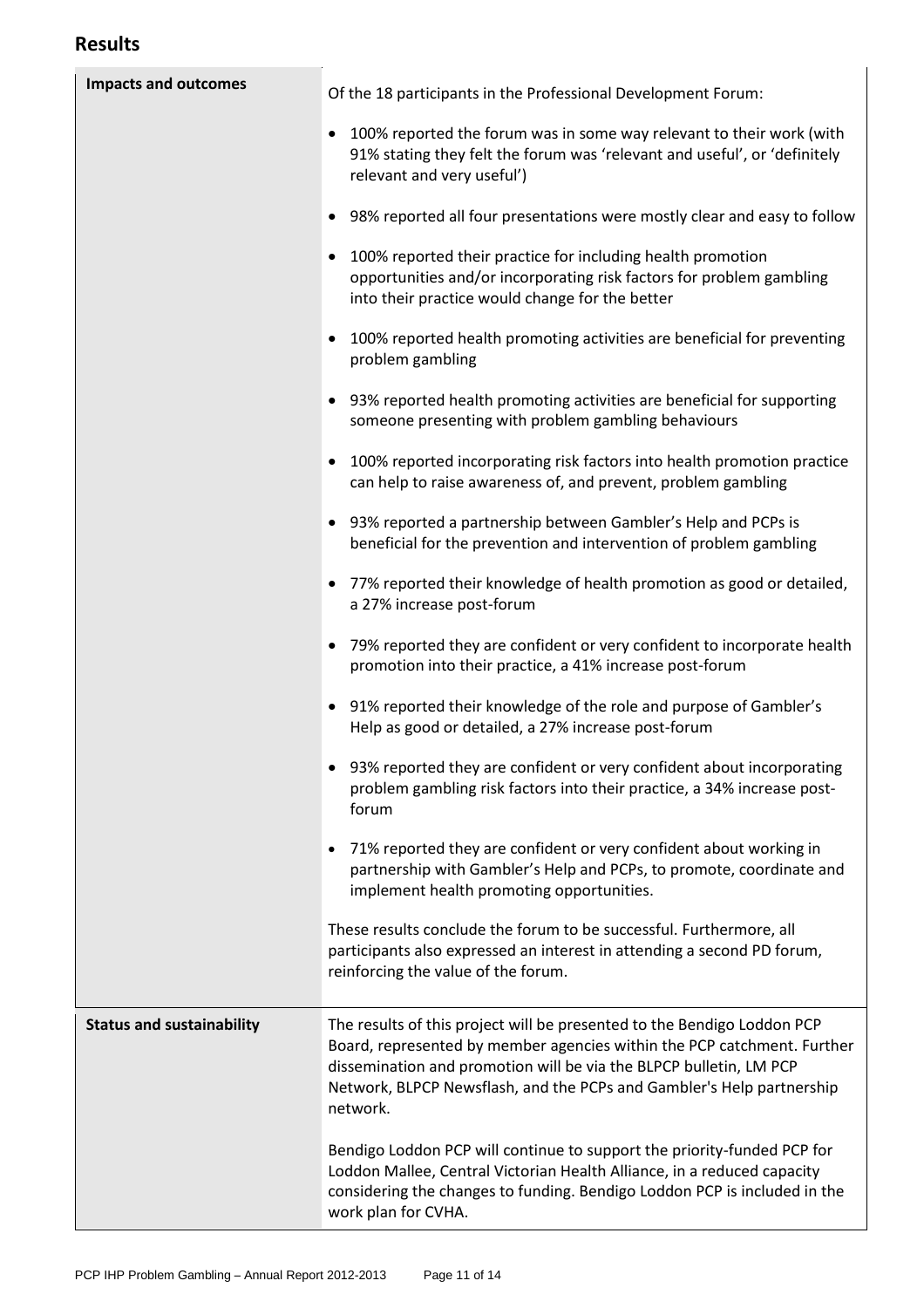| <b>Impacts and outcomes</b>      | Of the 18 participants in the Professional Development Forum:                                                                                                                                                                                                                                                 |
|----------------------------------|---------------------------------------------------------------------------------------------------------------------------------------------------------------------------------------------------------------------------------------------------------------------------------------------------------------|
|                                  | 100% reported the forum was in some way relevant to their work (with<br>91% stating they felt the forum was 'relevant and useful', or 'definitely<br>relevant and very useful')                                                                                                                               |
|                                  | 98% reported all four presentations were mostly clear and easy to follow                                                                                                                                                                                                                                      |
|                                  | 100% reported their practice for including health promotion<br>opportunities and/or incorporating risk factors for problem gambling<br>into their practice would change for the better                                                                                                                        |
|                                  | 100% reported health promoting activities are beneficial for preventing<br>problem gambling                                                                                                                                                                                                                   |
|                                  | 93% reported health promoting activities are beneficial for supporting<br>someone presenting with problem gambling behaviours                                                                                                                                                                                 |
|                                  | 100% reported incorporating risk factors into health promotion practice<br>can help to raise awareness of, and prevent, problem gambling                                                                                                                                                                      |
|                                  | 93% reported a partnership between Gambler's Help and PCPs is<br>beneficial for the prevention and intervention of problem gambling                                                                                                                                                                           |
|                                  | 77% reported their knowledge of health promotion as good or detailed,<br>a 27% increase post-forum                                                                                                                                                                                                            |
|                                  | 79% reported they are confident or very confident to incorporate health<br>promotion into their practice, a 41% increase post-forum                                                                                                                                                                           |
|                                  | 91% reported their knowledge of the role and purpose of Gambler's<br>Help as good or detailed, a 27% increase post-forum                                                                                                                                                                                      |
|                                  | 93% reported they are confident or very confident about incorporating<br>problem gambling risk factors into their practice, a 34% increase post-<br>forum                                                                                                                                                     |
|                                  | 71% reported they are confident or very confident about working in<br>partnership with Gambler's Help and PCPs, to promote, coordinate and<br>implement health promoting opportunities.                                                                                                                       |
|                                  | These results conclude the forum to be successful. Furthermore, all<br>participants also expressed an interest in attending a second PD forum,<br>reinforcing the value of the forum.                                                                                                                         |
| <b>Status and sustainability</b> | The results of this project will be presented to the Bendigo Loddon PCP<br>Board, represented by member agencies within the PCP catchment. Further<br>dissemination and promotion will be via the BLPCP bulletin, LM PCP<br>Network, BLPCP Newsflash, and the PCPs and Gambler's Help partnership<br>network. |
|                                  | Bendigo Loddon PCP will continue to support the priority-funded PCP for<br>Loddon Mallee, Central Victorian Health Alliance, in a reduced capacity<br>considering the changes to funding. Bendigo Loddon PCP is included in the<br>work plan for CVHA.                                                        |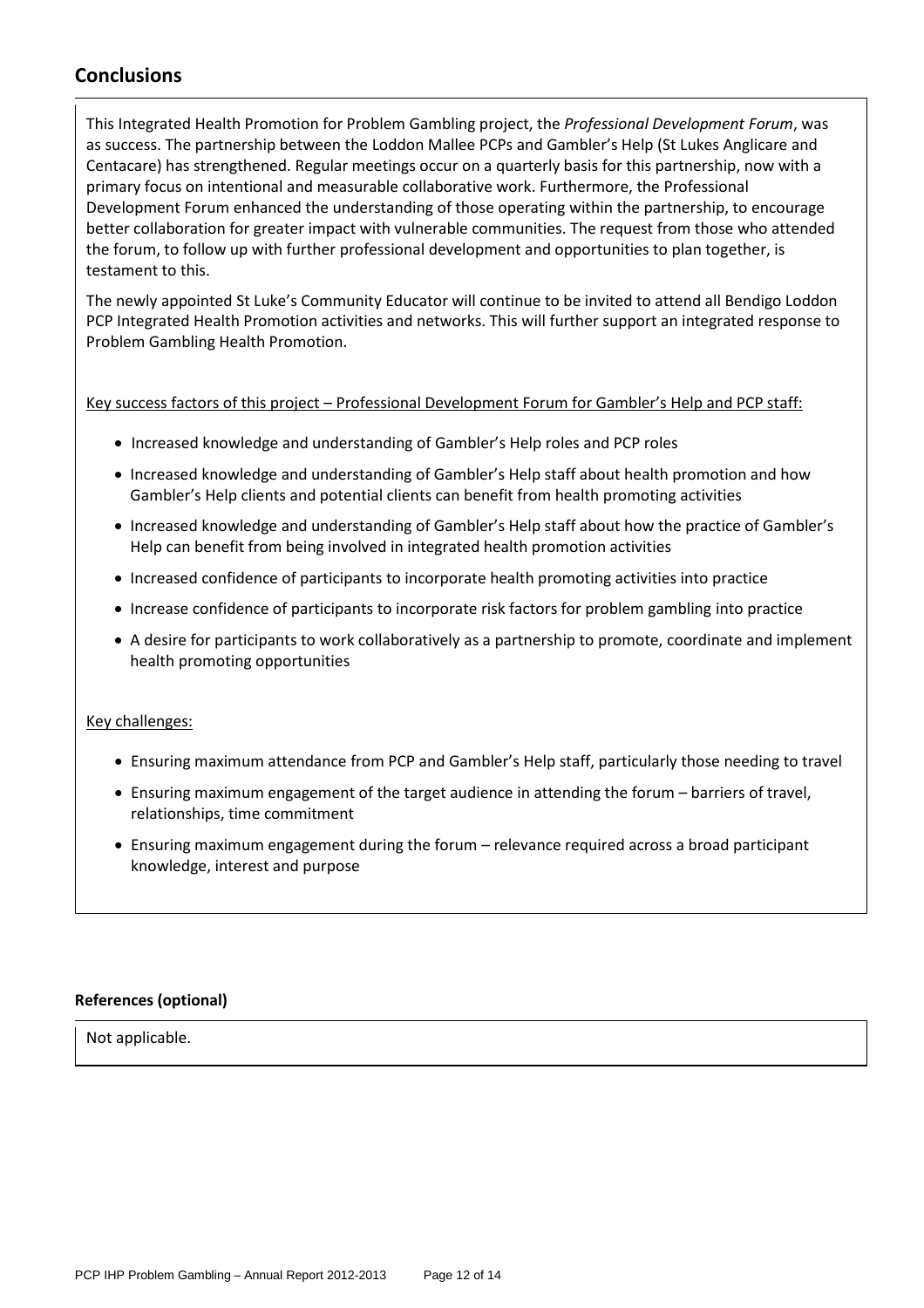### **Conclusions**

This Integrated Health Promotion for Problem Gambling project, the *Professional Development Forum*, was as success. The partnership between the Loddon Mallee PCPs and Gambler's Help (St Lukes Anglicare and Centacare) has strengthened. Regular meetings occur on a quarterly basis for this partnership, now with a primary focus on intentional and measurable collaborative work. Furthermore, the Professional Development Forum enhanced the understanding of those operating within the partnership, to encourage better collaboration for greater impact with vulnerable communities. The request from those who attended the forum, to follow up with further professional development and opportunities to plan together, is testament to this.

The newly appointed St Luke's Community Educator will continue to be invited to attend all Bendigo Loddon PCP Integrated Health Promotion activities and networks. This will further support an integrated response to Problem Gambling Health Promotion.

Key success factors of this project – Professional Development Forum for Gambler's Help and PCP staff:

- Increased knowledge and understanding of Gambler's Help roles and PCP roles
- Increased knowledge and understanding of Gambler's Help staff about health promotion and how Gambler's Help clients and potential clients can benefit from health promoting activities
- Increased knowledge and understanding of Gambler's Help staff about how the practice of Gambler's Help can benefit from being involved in integrated health promotion activities
- Increased confidence of participants to incorporate health promoting activities into practice
- Increase confidence of participants to incorporate risk factors for problem gambling into practice
- A desire for participants to work collaboratively as a partnership to promote, coordinate and implement health promoting opportunities

#### Key challenges:

- Ensuring maximum attendance from PCP and Gambler's Help staff, particularly those needing to travel
- Ensuring maximum engagement of the target audience in attending the forum barriers of travel, relationships, time commitment
- Ensuring maximum engagement during the forum relevance required across a broad participant knowledge, interest and purpose

#### **References (optional)**

Not applicable.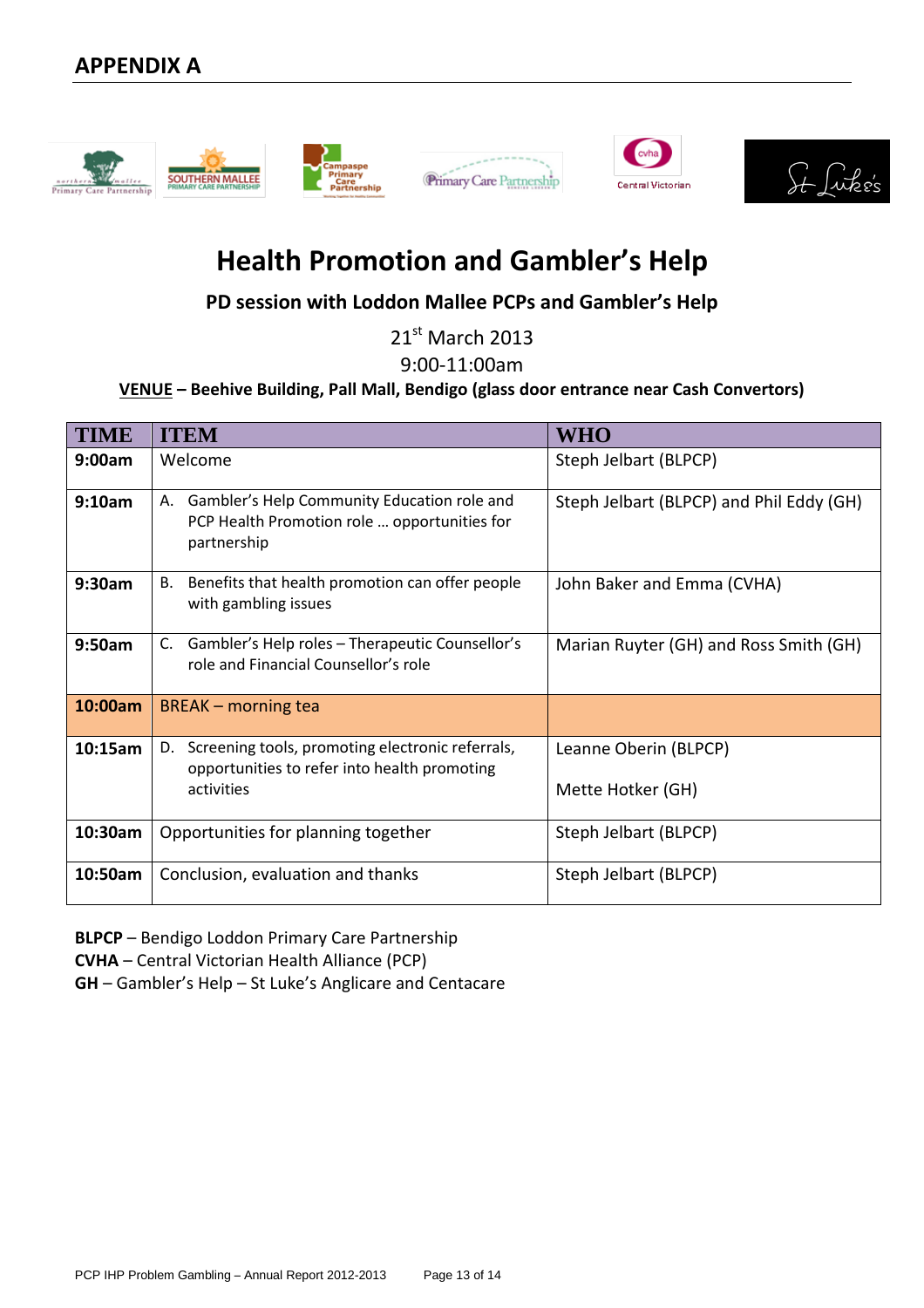







# **Health Promotion and Gambler's Help**

**PD session with Loddon Mallee PCPs and Gambler's Help**

21<sup>st</sup> March 2013

9:00-11:00am

### **VENUE – Beehive Building, Pall Mall, Bendigo (glass door entrance near Cash Convertors)**

| <b>TIME</b> | <b>ITEM</b>                                                                                                      | WHO                                      |
|-------------|------------------------------------------------------------------------------------------------------------------|------------------------------------------|
| 9:00am      | Welcome                                                                                                          | Steph Jelbart (BLPCP)                    |
| 9:10am      | Gambler's Help Community Education role and<br>А.<br>PCP Health Promotion role  opportunities for<br>partnership | Steph Jelbart (BLPCP) and Phil Eddy (GH) |
| 9:30am      | Benefits that health promotion can offer people<br>В.<br>with gambling issues                                    | John Baker and Emma (CVHA)               |
| 9:50am      | Gambler's Help roles - Therapeutic Counsellor's<br>C.<br>role and Financial Counsellor's role                    | Marian Ruyter (GH) and Ross Smith (GH)   |
| 10:00am     | <b>BREAK</b> – morning tea                                                                                       |                                          |
| 10:15am     | Screening tools, promoting electronic referrals,<br>D.<br>opportunities to refer into health promoting           | Leanne Oberin (BLPCP)                    |
|             | activities                                                                                                       | Mette Hotker (GH)                        |
| 10:30am     | Opportunities for planning together                                                                              | Steph Jelbart (BLPCP)                    |
| 10:50am     | Conclusion, evaluation and thanks                                                                                | Steph Jelbart (BLPCP)                    |

**BLPCP** – Bendigo Loddon Primary Care Partnership

**CVHA** – Central Victorian Health Alliance (PCP)

**GH** – Gambler's Help – St Luke's Anglicare and Centacare